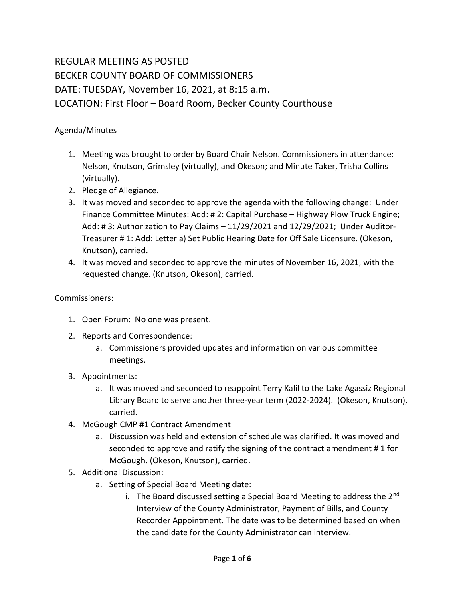## REGULAR MEETING AS POSTED BECKER COUNTY BOARD OF COMMISSIONERS DATE: TUESDAY, November 16, 2021, at 8:15 a.m. LOCATION: First Floor – Board Room, Becker County Courthouse

## Agenda/Minutes

- 1. Meeting was brought to order by Board Chair Nelson. Commissioners in attendance: Nelson, Knutson, Grimsley (virtually), and Okeson; and Minute Taker, Trisha Collins (virtually).
- 2. Pledge of Allegiance.
- 3. It was moved and seconded to approve the agenda with the following change: Under Finance Committee Minutes: Add: # 2: Capital Purchase – Highway Plow Truck Engine; Add: # 3: Authorization to Pay Claims – 11/29/2021 and 12/29/2021; Under Auditor-Treasurer # 1: Add: Letter a) Set Public Hearing Date for Off Sale Licensure. (Okeson, Knutson), carried.
- 4. It was moved and seconded to approve the minutes of November 16, 2021, with the requested change. (Knutson, Okeson), carried.

## Commissioners:

- 1. Open Forum: No one was present.
- 2. Reports and Correspondence:
	- a. Commissioners provided updates and information on various committee meetings.
- 3. Appointments:
	- a. It was moved and seconded to reappoint Terry Kalil to the Lake Agassiz Regional Library Board to serve another three-year term (2022-2024). (Okeson, Knutson), carried.
- 4. McGough CMP #1 Contract Amendment
	- a. Discussion was held and extension of schedule was clarified. It was moved and seconded to approve and ratify the signing of the contract amendment # 1 for McGough. (Okeson, Knutson), carried.
- 5. Additional Discussion:
	- a. Setting of Special Board Meeting date:
		- i. The Board discussed setting a Special Board Meeting to address the  $2^{nd}$ Interview of the County Administrator, Payment of Bills, and County Recorder Appointment. The date was to be determined based on when the candidate for the County Administrator can interview.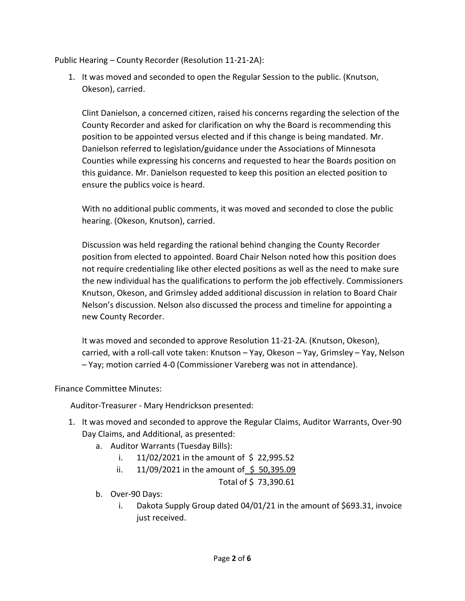Public Hearing – County Recorder (Resolution 11-21-2A):

1. It was moved and seconded to open the Regular Session to the public. (Knutson, Okeson), carried.

Clint Danielson, a concerned citizen, raised his concerns regarding the selection of the County Recorder and asked for clarification on why the Board is recommending this position to be appointed versus elected and if this change is being mandated. Mr. Danielson referred to legislation/guidance under the Associations of Minnesota Counties while expressing his concerns and requested to hear the Boards position on this guidance. Mr. Danielson requested to keep this position an elected position to ensure the publics voice is heard.

With no additional public comments, it was moved and seconded to close the public hearing. (Okeson, Knutson), carried.

Discussion was held regarding the rational behind changing the County Recorder position from elected to appointed. Board Chair Nelson noted how this position does not require credentialing like other elected positions as well as the need to make sure the new individual has the qualifications to perform the job effectively. Commissioners Knutson, Okeson, and Grimsley added additional discussion in relation to Board Chair Nelson's discussion. Nelson also discussed the process and timeline for appointing a new County Recorder.

It was moved and seconded to approve Resolution 11-21-2A. (Knutson, Okeson), carried, with a roll-call vote taken: Knutson – Yay, Okeson – Yay, Grimsley – Yay, Nelson – Yay; motion carried 4-0 (Commissioner Vareberg was not in attendance).

Finance Committee Minutes:

Auditor-Treasurer - Mary Hendrickson presented:

- 1. It was moved and seconded to approve the Regular Claims, Auditor Warrants, Over-90 Day Claims, and Additional, as presented:
	- a. Auditor Warrants (Tuesday Bills):
		- i.  $11/02/2021$  in the amount of \$22,995.52
		- ii.  $11/09/2021$  in the amount of \$ 50,395.09

Total of \$ 73,390.61

- b. Over-90 Days:
	- i. Dakota Supply Group dated 04/01/21 in the amount of \$693.31, invoice just received.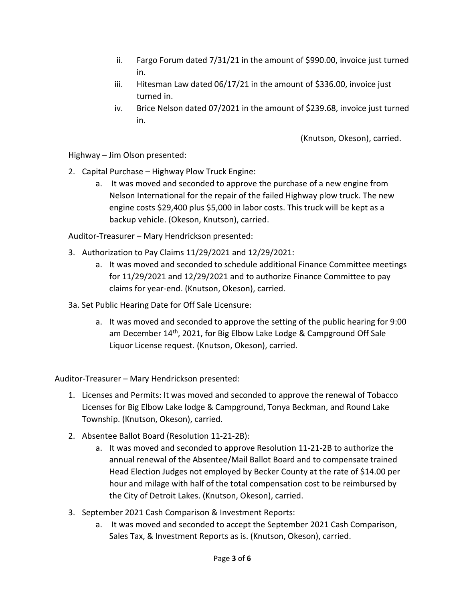- ii. Fargo Forum dated 7/31/21 in the amount of \$990.00, invoice just turned in.
- iii. Hitesman Law dated 06/17/21 in the amount of \$336.00, invoice just turned in.
- iv. Brice Nelson dated 07/2021 in the amount of \$239.68, invoice just turned in.

(Knutson, Okeson), carried.

Highway – Jim Olson presented:

- 2. Capital Purchase Highway Plow Truck Engine:
	- a. It was moved and seconded to approve the purchase of a new engine from Nelson International for the repair of the failed Highway plow truck. The new engine costs \$29,400 plus \$5,000 in labor costs. This truck will be kept as a backup vehicle. (Okeson, Knutson), carried.

Auditor-Treasurer – Mary Hendrickson presented:

- 3. Authorization to Pay Claims 11/29/2021 and 12/29/2021:
	- a. It was moved and seconded to schedule additional Finance Committee meetings for 11/29/2021 and 12/29/2021 and to authorize Finance Committee to pay claims for year-end. (Knutson, Okeson), carried.
- 3a. Set Public Hearing Date for Off Sale Licensure:
	- a. It was moved and seconded to approve the setting of the public hearing for 9:00 am December 14<sup>th</sup>, 2021, for Big Elbow Lake Lodge & Campground Off Sale Liquor License request. (Knutson, Okeson), carried.

Auditor-Treasurer – Mary Hendrickson presented:

- 1. Licenses and Permits: It was moved and seconded to approve the renewal of Tobacco Licenses for Big Elbow Lake lodge & Campground, Tonya Beckman, and Round Lake Township. (Knutson, Okeson), carried.
- 2. Absentee Ballot Board (Resolution 11-21-2B):
	- a. It was moved and seconded to approve Resolution 11-21-2B to authorize the annual renewal of the Absentee/Mail Ballot Board and to compensate trained Head Election Judges not employed by Becker County at the rate of \$14.00 per hour and milage with half of the total compensation cost to be reimbursed by the City of Detroit Lakes. (Knutson, Okeson), carried.
- 3. September 2021 Cash Comparison & Investment Reports:
	- a. It was moved and seconded to accept the September 2021 Cash Comparison, Sales Tax, & Investment Reports as is. (Knutson, Okeson), carried.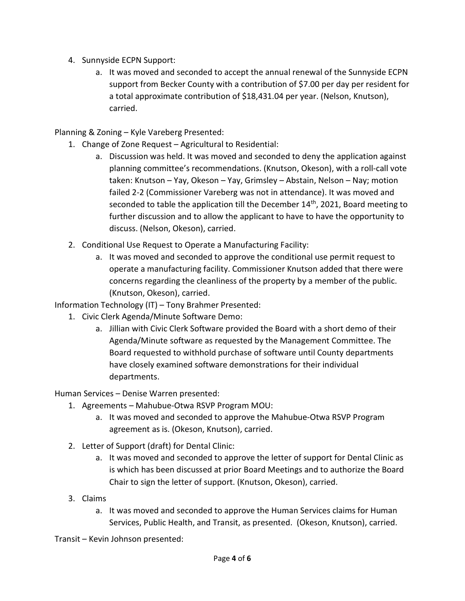- 4. Sunnyside ECPN Support:
	- a. It was moved and seconded to accept the annual renewal of the Sunnyside ECPN support from Becker County with a contribution of \$7.00 per day per resident for a total approximate contribution of \$18,431.04 per year. (Nelson, Knutson), carried.

Planning & Zoning – Kyle Vareberg Presented:

- 1. Change of Zone Request Agricultural to Residential:
	- a. Discussion was held. It was moved and seconded to deny the application against planning committee's recommendations. (Knutson, Okeson), with a roll-call vote taken: Knutson – Yay, Okeson – Yay, Grimsley – Abstain, Nelson – Nay; motion failed 2-2 (Commissioner Vareberg was not in attendance). It was moved and seconded to table the application till the December 14<sup>th</sup>, 2021, Board meeting to further discussion and to allow the applicant to have to have the opportunity to discuss. (Nelson, Okeson), carried.
- 2. Conditional Use Request to Operate a Manufacturing Facility:
	- a. It was moved and seconded to approve the conditional use permit request to operate a manufacturing facility. Commissioner Knutson added that there were concerns regarding the cleanliness of the property by a member of the public. (Knutson, Okeson), carried.

Information Technology (IT) – Tony Brahmer Presented:

- 1. Civic Clerk Agenda/Minute Software Demo:
	- a. Jillian with Civic Clerk Software provided the Board with a short demo of their Agenda/Minute software as requested by the Management Committee. The Board requested to withhold purchase of software until County departments have closely examined software demonstrations for their individual departments.

Human Services – Denise Warren presented:

- 1. Agreements Mahubue-Otwa RSVP Program MOU:
	- a. It was moved and seconded to approve the Mahubue-Otwa RSVP Program agreement as is. (Okeson, Knutson), carried.
- 2. Letter of Support (draft) for Dental Clinic:
	- a. It was moved and seconded to approve the letter of support for Dental Clinic as is which has been discussed at prior Board Meetings and to authorize the Board Chair to sign the letter of support. (Knutson, Okeson), carried.
- 3. Claims
	- a. It was moved and seconded to approve the Human Services claims for Human Services, Public Health, and Transit, as presented. (Okeson, Knutson), carried.

Transit – Kevin Johnson presented: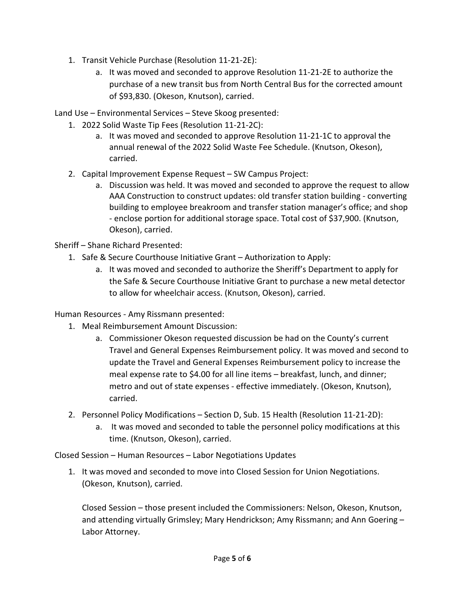- 1. Transit Vehicle Purchase (Resolution 11-21-2E):
	- a. It was moved and seconded to approve Resolution 11-21-2E to authorize the purchase of a new transit bus from North Central Bus for the corrected amount of \$93,830. (Okeson, Knutson), carried.

Land Use – Environmental Services – Steve Skoog presented:

- 1. 2022 Solid Waste Tip Fees (Resolution 11-21-2C):
	- a. It was moved and seconded to approve Resolution 11-21-1C to approval the annual renewal of the 2022 Solid Waste Fee Schedule. (Knutson, Okeson), carried.
- 2. Capital Improvement Expense Request SW Campus Project:
	- a. Discussion was held. It was moved and seconded to approve the request to allow AAA Construction to construct updates: old transfer station building - converting building to employee breakroom and transfer station manager's office; and shop - enclose portion for additional storage space. Total cost of \$37,900. (Knutson, Okeson), carried.

Sheriff – Shane Richard Presented:

- 1. Safe & Secure Courthouse Initiative Grant Authorization to Apply:
	- a. It was moved and seconded to authorize the Sheriff's Department to apply for the Safe & Secure Courthouse Initiative Grant to purchase a new metal detector to allow for wheelchair access. (Knutson, Okeson), carried.

Human Resources - Amy Rissmann presented:

- 1. Meal Reimbursement Amount Discussion:
	- a. Commissioner Okeson requested discussion be had on the County's current Travel and General Expenses Reimbursement policy. It was moved and second to update the Travel and General Expenses Reimbursement policy to increase the meal expense rate to \$4.00 for all line items – breakfast, lunch, and dinner; metro and out of state expenses - effective immediately. (Okeson, Knutson), carried.
- 2. Personnel Policy Modifications Section D, Sub. 15 Health (Resolution 11-21-2D):
	- a. It was moved and seconded to table the personnel policy modifications at this time. (Knutson, Okeson), carried.

Closed Session – Human Resources – Labor Negotiations Updates

1. It was moved and seconded to move into Closed Session for Union Negotiations. (Okeson, Knutson), carried.

Closed Session – those present included the Commissioners: Nelson, Okeson, Knutson, and attending virtually Grimsley; Mary Hendrickson; Amy Rissmann; and Ann Goering – Labor Attorney.